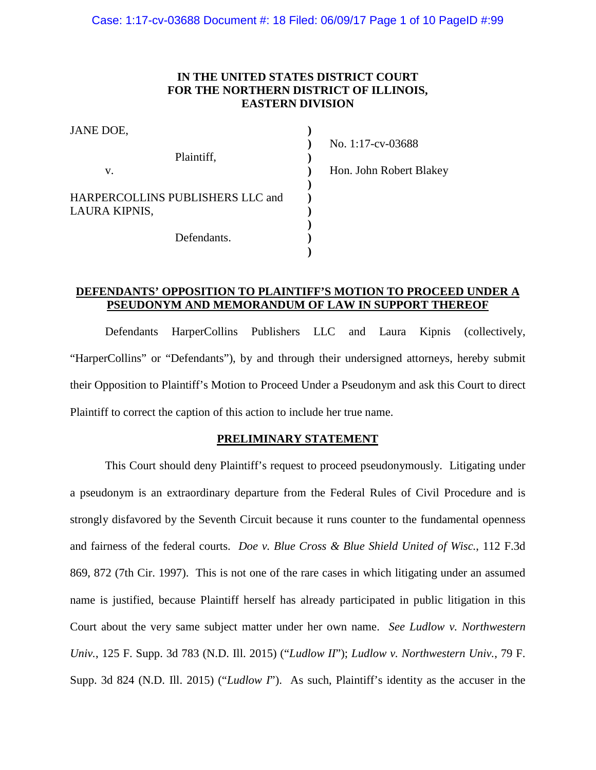#### **IN THE UNITED STATES DISTRICT COURT FOR THE NORTHERN DISTRICT OF ILLINOIS, EASTERN DIVISION**

| JANE DOE,                                                        |  |
|------------------------------------------------------------------|--|
| Plaintiff,                                                       |  |
| $V_{-}$                                                          |  |
| HARPERCOLLINS PUBLISHERS LLC and<br>LAURA KIPNIS,<br>Defendants. |  |
|                                                                  |  |
|                                                                  |  |
|                                                                  |  |

No. 1:17-cv-03688 Hon. John Robert Blakey

#### **DEFENDANTS' OPPOSITION TO PLAINTIFF'S MOTION TO PROCEED UNDER A PSEUDONYM AND MEMORANDUM OF LAW IN SUPPORT THEREOF**

Defendants HarperCollins Publishers LLC and Laura Kipnis (collectively, "HarperCollins" or "Defendants"), by and through their undersigned attorneys, hereby submit their Opposition to Plaintiff's Motion to Proceed Under a Pseudonym and ask this Court to direct Plaintiff to correct the caption of this action to include her true name.

#### **PRELIMINARY STATEMENT**

This Court should deny Plaintiff's request to proceed pseudonymously. Litigating under a pseudonym is an extraordinary departure from the Federal Rules of Civil Procedure and is strongly disfavored by the Seventh Circuit because it runs counter to the fundamental openness and fairness of the federal courts. *Doe v. Blue Cross & Blue Shield United of Wisc.*, 112 F.3d 869, 872 (7th Cir. 1997). This is not one of the rare cases in which litigating under an assumed name is justified, because Plaintiff herself has already participated in public litigation in this Court about the very same subject matter under her own name. *See Ludlow v. Northwestern Univ.*, 125 F. Supp. 3d 783 (N.D. Ill. 2015) ("*Ludlow II*"); *Ludlow v. Northwestern Univ.*, 79 F. Supp. 3d 824 (N.D. Ill. 2015) ("*Ludlow I*"). As such, Plaintiff's identity as the accuser in the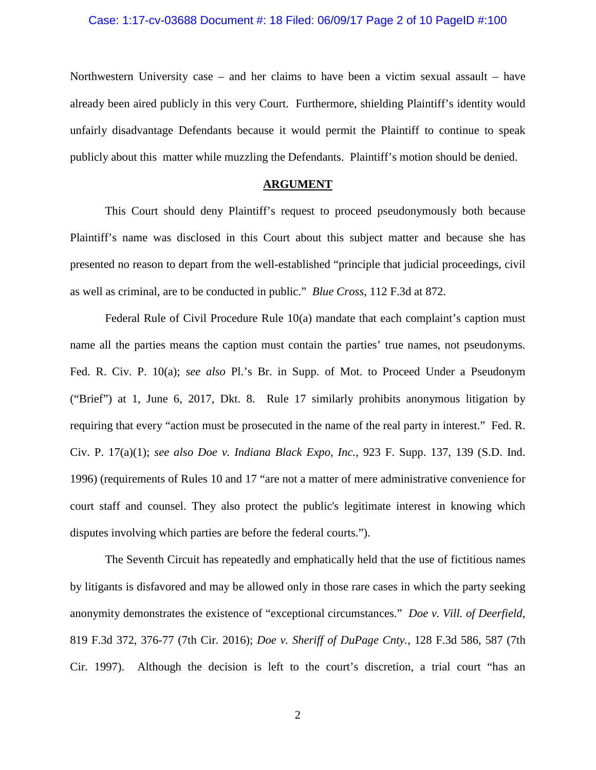Northwestern University case – and her claims to have been a victim sexual assault – have already been aired publicly in this very Court. Furthermore, shielding Plaintiff's identity would unfairly disadvantage Defendants because it would permit the Plaintiff to continue to speak publicly about this matter while muzzling the Defendants. Plaintiff's motion should be denied.

#### **ARGUMENT**

This Court should deny Plaintiff's request to proceed pseudonymously both because Plaintiff's name was disclosed in this Court about this subject matter and because she has presented no reason to depart from the well-established "principle that judicial proceedings, civil as well as criminal, are to be conducted in public." *Blue Cross*, 112 F.3d at 872.

Federal Rule of Civil Procedure Rule 10(a) mandate that each complaint's caption must name all the parties means the caption must contain the parties' true names, not pseudonyms. Fed. R. Civ. P. 10(a); *see also* Pl.'s Br. in Supp. of Mot. to Proceed Under a Pseudonym ("Brief") at 1, June 6, 2017, Dkt. 8. Rule 17 similarly prohibits anonymous litigation by requiring that every "action must be prosecuted in the name of the real party in interest." Fed. R. Civ. P. 17(a)(1); *see also Doe v. Indiana Black Expo, Inc.*, 923 F. Supp. 137, 139 (S.D. Ind. 1996) (requirements of Rules 10 and 17 "are not a matter of mere administrative convenience for court staff and counsel. They also protect the public's legitimate interest in knowing which disputes involving which parties are before the federal courts.").

The Seventh Circuit has repeatedly and emphatically held that the use of fictitious names by litigants is disfavored and may be allowed only in those rare cases in which the party seeking anonymity demonstrates the existence of "exceptional circumstances." *Doe v. Vill. of Deerfield*, 819 F.3d 372, 376-77 (7th Cir. 2016); *Doe v. Sheriff of DuPage Cnty.*, 128 F.3d 586, 587 (7th Cir. 1997). Although the decision is left to the court's discretion, a trial court "has an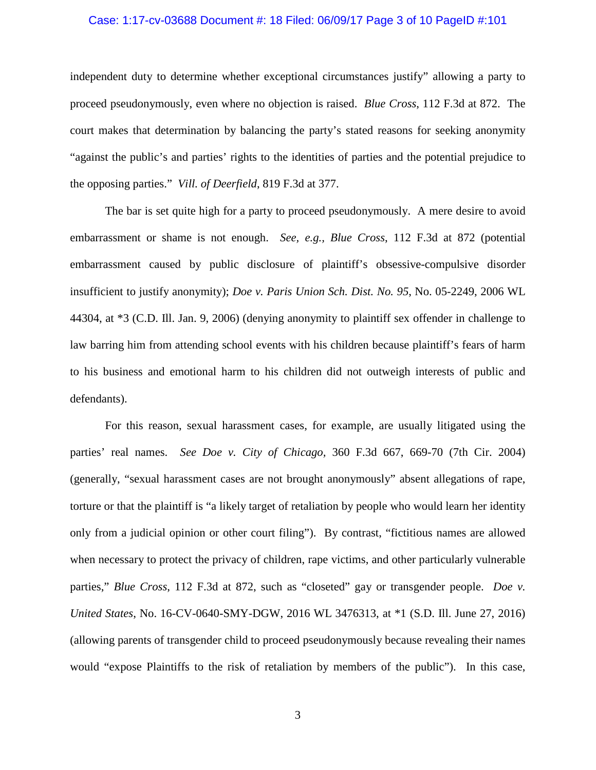#### Case: 1:17-cv-03688 Document #: 18 Filed: 06/09/17 Page 3 of 10 PageID #:101

independent duty to determine whether exceptional circumstances justify" allowing a party to proceed pseudonymously, even where no objection is raised. *Blue Cross*, 112 F.3d at 872. The court makes that determination by balancing the party's stated reasons for seeking anonymity "against the public's and parties' rights to the identities of parties and the potential prejudice to the opposing parties." *Vill. of Deerfield*, 819 F.3d at 377.

The bar is set quite high for a party to proceed pseudonymously. A mere desire to avoid embarrassment or shame is not enough. *See, e.g., Blue Cross*, 112 F.3d at 872 (potential embarrassment caused by public disclosure of plaintiff's obsessive-compulsive disorder insufficient to justify anonymity); *Doe v. Paris Union Sch. Dist. No. 95*, No. 05-2249, 2006 WL 44304, at \*3 (C.D. Ill. Jan. 9, 2006) (denying anonymity to plaintiff sex offender in challenge to law barring him from attending school events with his children because plaintiff's fears of harm to his business and emotional harm to his children did not outweigh interests of public and defendants).

For this reason, sexual harassment cases, for example, are usually litigated using the parties' real names. *See Doe v. City of Chicago,* 360 F.3d 667, 669-70 (7th Cir. 2004) (generally, "sexual harassment cases are not brought anonymously" absent allegations of rape, torture or that the plaintiff is "a likely target of retaliation by people who would learn her identity only from a judicial opinion or other court filing"). By contrast, "fictitious names are allowed when necessary to protect the privacy of children, rape victims, and other particularly vulnerable parties," *Blue Cross*, 112 F.3d at 872, such as "closeted" gay or transgender people. *Doe v. United States*, No. 16-CV-0640-SMY-DGW, 2016 WL 3476313, at \*1 (S.D. Ill. June 27, 2016) (allowing parents of transgender child to proceed pseudonymously because revealing their names would "expose Plaintiffs to the risk of retaliation by members of the public"). In this case,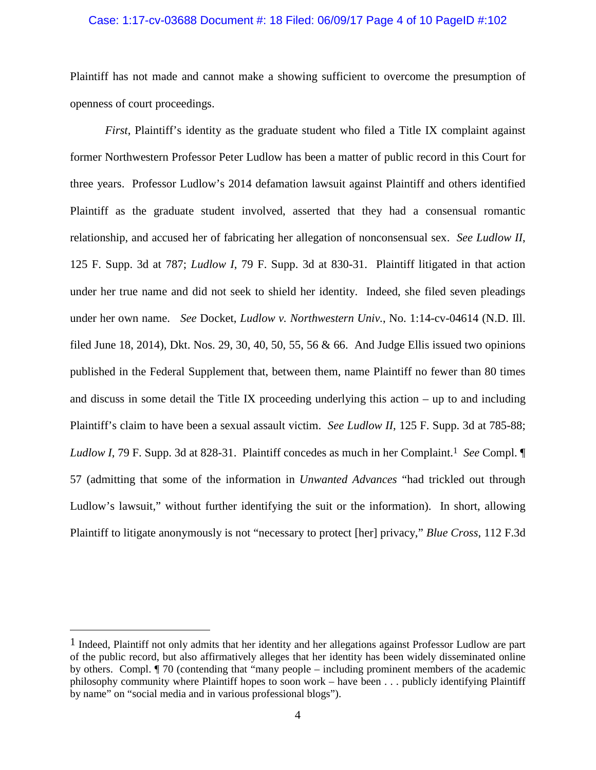#### Case: 1:17-cv-03688 Document #: 18 Filed: 06/09/17 Page 4 of 10 PageID #:102

Plaintiff has not made and cannot make a showing sufficient to overcome the presumption of openness of court proceedings.

*First*, Plaintiff's identity as the graduate student who filed a Title IX complaint against former Northwestern Professor Peter Ludlow has been a matter of public record in this Court for three years. Professor Ludlow's 2014 defamation lawsuit against Plaintiff and others identified Plaintiff as the graduate student involved, asserted that they had a consensual romantic relationship, and accused her of fabricating her allegation of nonconsensual sex. *See Ludlow II*, 125 F. Supp. 3d at 787; *Ludlow I*, 79 F. Supp. 3d at 830-31. Plaintiff litigated in that action under her true name and did not seek to shield her identity. Indeed, she filed seven pleadings under her own name. *See* Docket, *Ludlow v. Northwestern Univ.*, No. 1:14-cv-04614 (N.D. Ill. filed June 18, 2014), Dkt. Nos. 29, 30, 40, 50, 55, 56 & 66. And Judge Ellis issued two opinions published in the Federal Supplement that, between them, name Plaintiff no fewer than 80 times and discuss in some detail the Title IX proceeding underlying this action – up to and including Plaintiff's claim to have been a sexual assault victim. *See Ludlow II*, 125 F. Supp. 3d at 785-88; *Ludlow I*, 79 F. Supp. 3d at 828-31. Plaintiff concedes as much in her Complaint.<sup>1</sup> *See* Compl. 57 (admitting that some of the information in *Unwanted Advances* "had trickled out through Ludlow's lawsuit," without further identifying the suit or the information). In short, allowing Plaintiff to litigate anonymously is not "necessary to protect [her] privacy," *Blue Cross*, 112 F.3d

<sup>&</sup>lt;sup>1</sup> Indeed, Plaintiff not only admits that her identity and her allegations against Professor Ludlow are part of the public record, but also affirmatively alleges that her identity has been widely disseminated online by others. Compl. ¶ 70 (contending that "many people – including prominent members of the academic philosophy community where Plaintiff hopes to soon work – have been . . . publicly identifying Plaintiff by name" on "social media and in various professional blogs").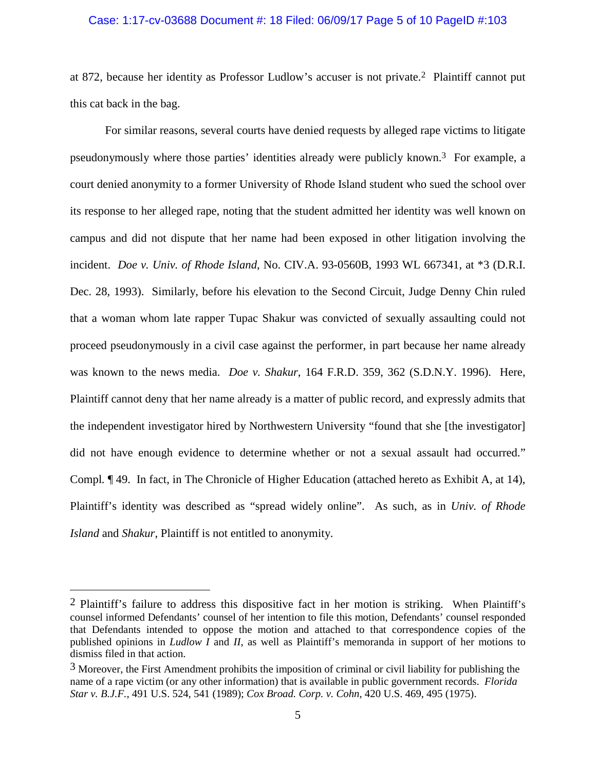#### Case: 1:17-cv-03688 Document #: 18 Filed: 06/09/17 Page 5 of 10 PageID #:103

at 872, because her identity as Professor Ludlow's accuser is not private.2 Plaintiff cannot put this cat back in the bag.

For similar reasons, several courts have denied requests by alleged rape victims to litigate pseudonymously where those parties' identities already were publicly known.3 For example, a court denied anonymity to a former University of Rhode Island student who sued the school over its response to her alleged rape, noting that the student admitted her identity was well known on campus and did not dispute that her name had been exposed in other litigation involving the incident. *Doe v. Univ. of Rhode Island*, No. CIV.A. 93-0560B, 1993 WL 667341, at \*3 (D.R.I. Dec. 28, 1993). Similarly, before his elevation to the Second Circuit, Judge Denny Chin ruled that a woman whom late rapper Tupac Shakur was convicted of sexually assaulting could not proceed pseudonymously in a civil case against the performer, in part because her name already was known to the news media. *Doe v. Shakur*, 164 F.R.D. 359, 362 (S.D.N.Y. 1996). Here, Plaintiff cannot deny that her name already is a matter of public record, and expressly admits that the independent investigator hired by Northwestern University "found that she [the investigator] did not have enough evidence to determine whether or not a sexual assault had occurred." Compl*.* ¶ 49. In fact, in The Chronicle of Higher Education (attached hereto as Exhibit A, at 14), Plaintiff's identity was described as "spread widely online". As such, as in *Univ. of Rhode Island* and *Shakur*, Plaintiff is not entitled to anonymity.

<sup>2</sup> Plaintiff's failure to address this dispositive fact in her motion is striking. When Plaintiff's counsel informed Defendants' counsel of her intention to file this motion, Defendants' counsel responded that Defendants intended to oppose the motion and attached to that correspondence copies of the published opinions in *Ludlow I* and *II*, as well as Plaintiff's memoranda in support of her motions to dismiss filed in that action.

 $3$  Moreover, the First Amendment prohibits the imposition of criminal or civil liability for publishing the name of a rape victim (or any other information) that is available in public government records. *Florida Star v. B.J.F.*, 491 U.S. 524, 541 (1989); *Cox Broad. Corp. v. Cohn*, 420 U.S. 469, 495 (1975).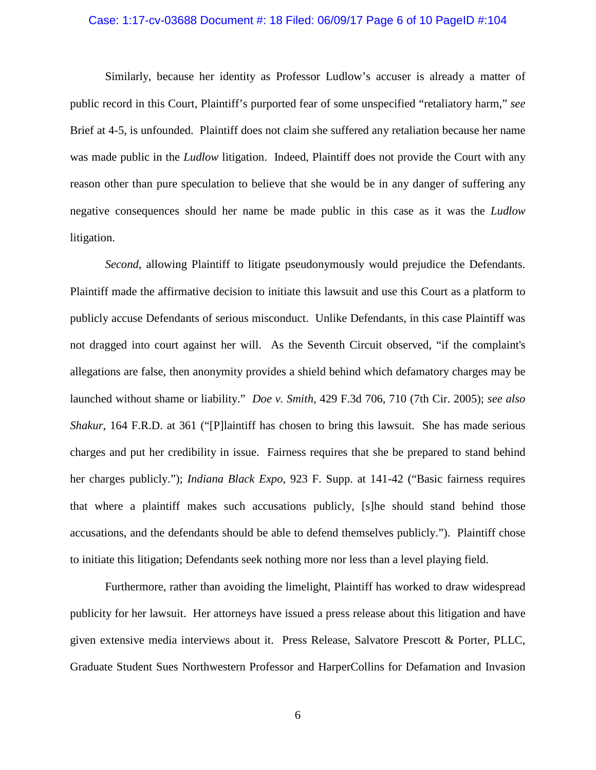#### Case: 1:17-cv-03688 Document #: 18 Filed: 06/09/17 Page 6 of 10 PageID #:104

Similarly, because her identity as Professor Ludlow's accuser is already a matter of public record in this Court, Plaintiff's purported fear of some unspecified "retaliatory harm," *see* Brief at 4-5, is unfounded. Plaintiff does not claim she suffered any retaliation because her name was made public in the *Ludlow* litigation. Indeed, Plaintiff does not provide the Court with any reason other than pure speculation to believe that she would be in any danger of suffering any negative consequences should her name be made public in this case as it was the *Ludlow* litigation.

*Second*, allowing Plaintiff to litigate pseudonymously would prejudice the Defendants. Plaintiff made the affirmative decision to initiate this lawsuit and use this Court as a platform to publicly accuse Defendants of serious misconduct. Unlike Defendants, in this case Plaintiff was not dragged into court against her will. As the Seventh Circuit observed, "if the complaint's allegations are false, then anonymity provides a shield behind which defamatory charges may be launched without shame or liability." *Doe v. Smith*, 429 F.3d 706, 710 (7th Cir. 2005); *see also Shakur*, 164 F.R.D. at 361 ("[P]laintiff has chosen to bring this lawsuit. She has made serious charges and put her credibility in issue. Fairness requires that she be prepared to stand behind her charges publicly."); *Indiana Black Expo*, 923 F. Supp. at 141-42 ("Basic fairness requires that where a plaintiff makes such accusations publicly, [s]he should stand behind those accusations, and the defendants should be able to defend themselves publicly."). Plaintiff chose to initiate this litigation; Defendants seek nothing more nor less than a level playing field.

Furthermore, rather than avoiding the limelight, Plaintiff has worked to draw widespread publicity for her lawsuit. Her attorneys have issued a press release about this litigation and have given extensive media interviews about it. Press Release, Salvatore Prescott & Porter, PLLC, Graduate Student Sues Northwestern Professor and HarperCollins for Defamation and Invasion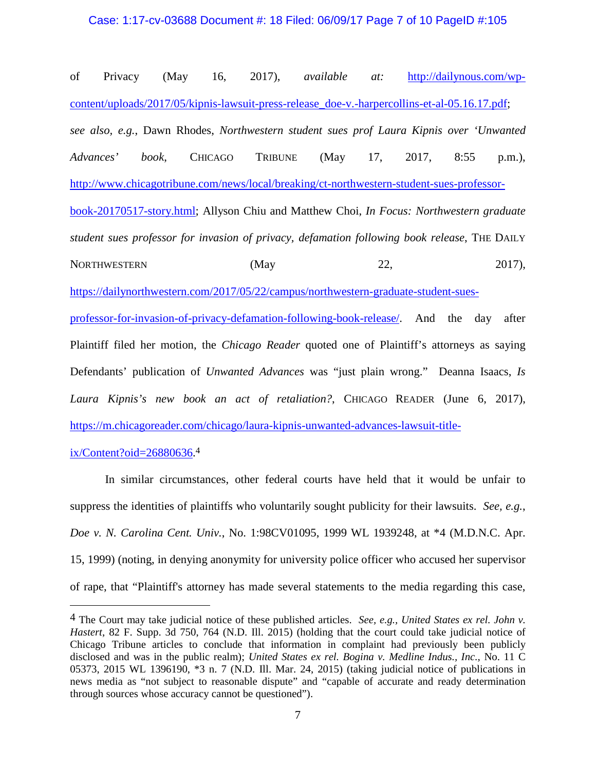#### Case: 1:17-cv-03688 Document #: 18 Filed: 06/09/17 Page 7 of 10 PageID #:105

of Privacy (May 16, 2017), *available at:* http://dailynous.com/wpcontent/uploads/2017/05/kipnis-lawsuit-press-release\_doe-v.-harpercollins-et-al-05.16.17.pdf; *see also, e.g.*, Dawn Rhodes, *Northwestern student sues prof Laura Kipnis over 'Unwanted Advances' book*, CHICAGO TRIBUNE (May 17, 2017, 8:55 p.m.), http://www.chicagotribune.com/news/local/breaking/ct-northwestern-student-sues-professorbook-20170517-story.html; Allyson Chiu and Matthew Choi, *In Focus: Northwestern graduate student sues professor for invasion of privacy, defamation following book release*, THE DAILY NORTHWESTERN (May 22, 2017), https://dailynorthwestern.com/2017/05/22/campus/northwestern-graduate-student-suesprofessor-for-invasion-of-privacy-defamation-following-book-release/. And the day after Plaintiff filed her motion, the *Chicago Reader* quoted one of Plaintiff's attorneys as saying Defendants' publication of *Unwanted Advances* was "just plain wrong." Deanna Isaacs, *Is Laura Kipnis's new book an act of retaliation?*, CHICAGO READER (June 6, 2017), https://m.chicagoreader.com/chicago/laura-kipnis-unwanted-advances-lawsuit-title-

ix/Content?oid=26880636. 4

In similar circumstances, other federal courts have held that it would be unfair to suppress the identities of plaintiffs who voluntarily sought publicity for their lawsuits. *See, e.g.*, *Doe v. N. Carolina Cent. Univ.*, No. 1:98CV01095, 1999 WL 1939248, at \*4 (M.D.N.C. Apr. 15, 1999) (noting, in denying anonymity for university police officer who accused her supervisor of rape, that "Plaintiff's attorney has made several statements to the media regarding this case,

<sup>4</sup> The Court may take judicial notice of these published articles. *See, e.g., United States ex rel. John v. Hastert*, 82 F. Supp. 3d 750, 764 (N.D. Ill. 2015) (holding that the court could take judicial notice of Chicago Tribune articles to conclude that information in complaint had previously been publicly disclosed and was in the public realm); *United States ex rel. Bogina v. Medline Indus., Inc.,* No. 11 C 05373, 2015 WL 1396190, \*3 n. 7 (N.D. Ill. Mar. 24, 2015) (taking judicial notice of publications in news media as "not subject to reasonable dispute" and "capable of accurate and ready determination through sources whose accuracy cannot be questioned").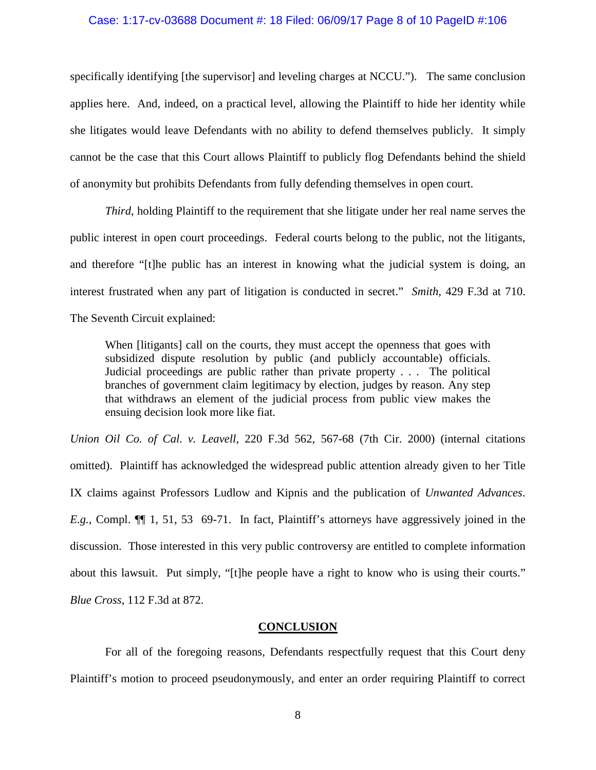#### Case: 1:17-cv-03688 Document #: 18 Filed: 06/09/17 Page 8 of 10 PageID #:106

specifically identifying [the supervisor] and leveling charges at NCCU."). The same conclusion applies here. And, indeed, on a practical level, allowing the Plaintiff to hide her identity while she litigates would leave Defendants with no ability to defend themselves publicly. It simply cannot be the case that this Court allows Plaintiff to publicly flog Defendants behind the shield of anonymity but prohibits Defendants from fully defending themselves in open court.

*Third*, holding Plaintiff to the requirement that she litigate under her real name serves the public interest in open court proceedings. Federal courts belong to the public, not the litigants, and therefore "[t]he public has an interest in knowing what the judicial system is doing, an interest frustrated when any part of litigation is conducted in secret." *Smith*, 429 F.3d at 710. The Seventh Circuit explained:

When [litigants] call on the courts, they must accept the openness that goes with subsidized dispute resolution by public (and publicly accountable) officials. Judicial proceedings are public rather than private property . . . The political branches of government claim legitimacy by election, judges by reason. Any step that withdraws an element of the judicial process from public view makes the ensuing decision look more like fiat.

*Union Oil Co. of Cal. v. Leavell*, 220 F.3d 562, 567-68 (7th Cir. 2000) (internal citations omitted). Plaintiff has acknowledged the widespread public attention already given to her Title IX claims against Professors Ludlow and Kipnis and the publication of *Unwanted Advances*. *E.g.*, Compl. ¶¶ 1, 51, 53 69-71. In fact, Plaintiff's attorneys have aggressively joined in the discussion. Those interested in this very public controversy are entitled to complete information about this lawsuit. Put simply, "[t]he people have a right to know who is using their courts." *Blue Cross*, 112 F.3d at 872.

#### **CONCLUSION**

For all of the foregoing reasons, Defendants respectfully request that this Court deny Plaintiff's motion to proceed pseudonymously, and enter an order requiring Plaintiff to correct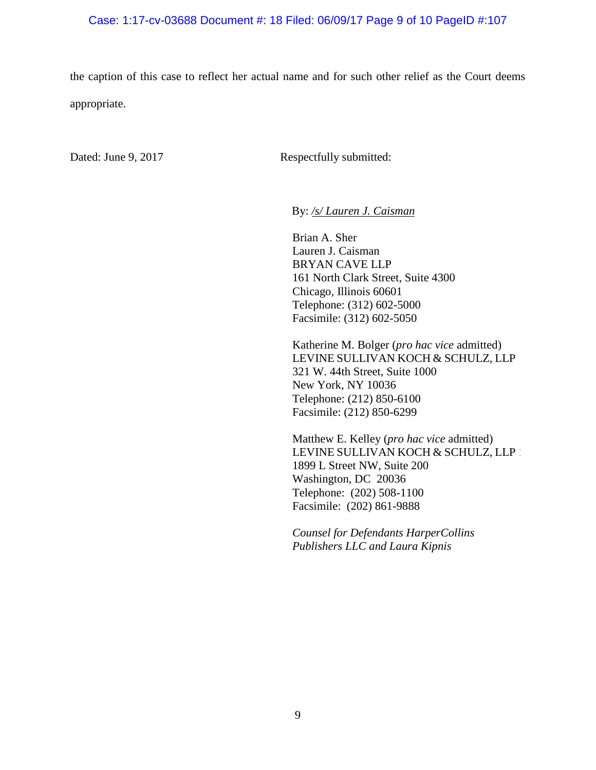#### Case: 1:17-cv-03688 Document #: 18 Filed: 06/09/17 Page 9 of 10 PageID #:107

the caption of this case to reflect her actual name and for such other relief as the Court deems appropriate.

Dated: June 9, 2017 Respectfully submitted:

By: */s/ Lauren J. Caisman*

Brian A. Sher Lauren J. Caisman BRYAN CAVE LLP 161 North Clark Street, Suite 4300 Chicago, Illinois 60601 Telephone: (312) 602-5000 Facsimile: (312) 602-5050

Katherine M. Bolger (*pro hac vice* admitted) LEVINE SULLIVAN KOCH & SCHULZ, LLP 321 W. 44th Street, Suite 1000 New York, NY 10036 Telephone: (212) 850-6100 Facsimile: (212) 850-6299

Matthew E. Kelley (*pro hac vice* admitted) LEVINE SULLIVAN KOCH & SCHULZ, LLP 1899 L Street NW, Suite 200 Washington, DC 20036 Telephone: (202) 508-1100 Facsimile: (202) 861-9888

*Counsel for Defendants HarperCollins Publishers LLC and Laura Kipnis*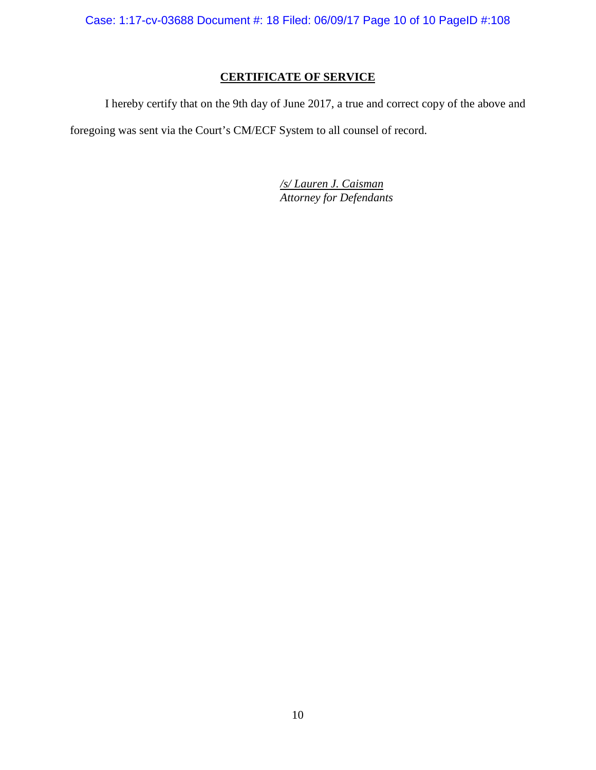Case: 1:17-cv-03688 Document #: 18 Filed: 06/09/17 Page 10 of 10 PageID #:108

## **CERTIFICATE OF SERVICE**

I hereby certify that on the 9th day of June 2017, a true and correct copy of the above and foregoing was sent via the Court's CM/ECF System to all counsel of record.

> */s/ Lauren J. Caisman Attorney for Defendants*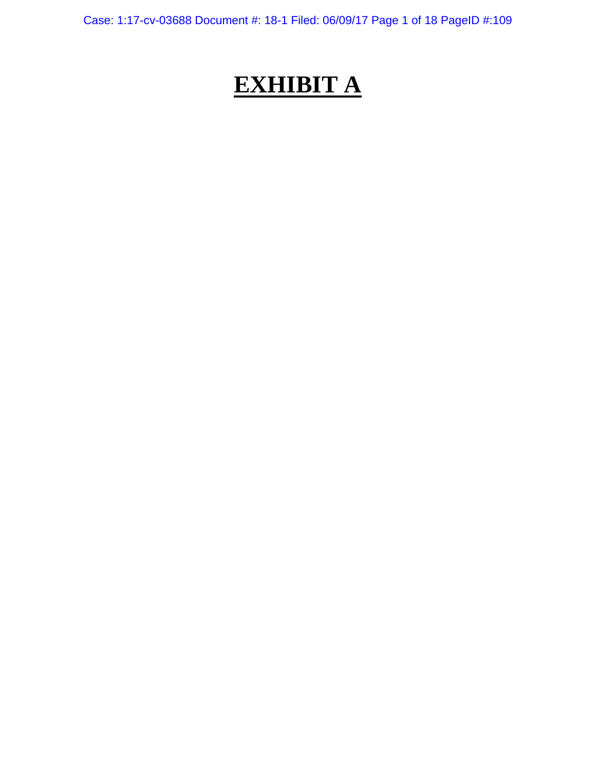Case: 1:17-cv-03688 Document #: 18-1 Filed: 06/09/17 Page 1 of 18 PageID #:109

# **EXHIBIT A**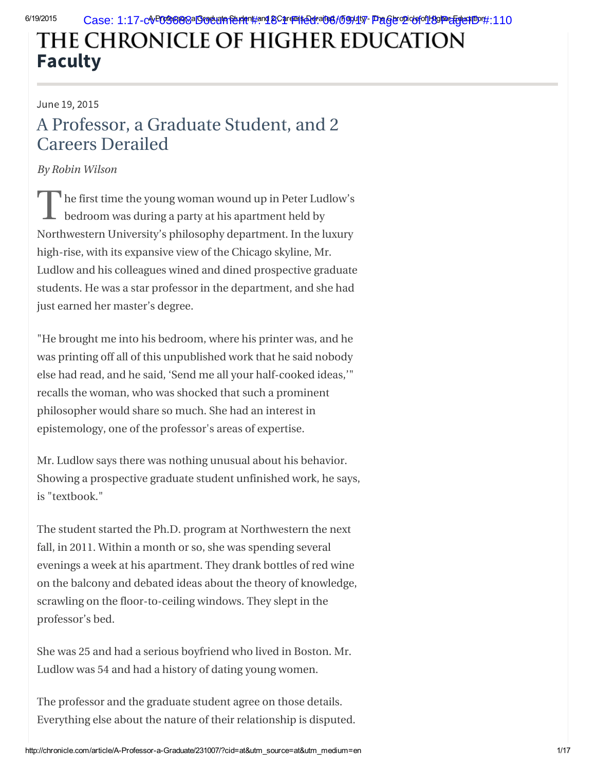## THE CHRONICLE OF HIGHER EDUCATION [Faculty](http://chronicle.com/section/Faculty/7/)

### June 19, 2015

## A Professor, a Graduate Student, and 2 [Care](https://disqus.com/home/forums/thechronicleofhighereducation/)ers Derailed

## By Robin Wilson

The first time the young woman wound up in Peter Ludlow's<br>bedroom was during a party at his apartment held by bedroom was during a party at his apartment held by Northwestern University's philosophy department. In the luxury high-rise, with its expansive view of the Chicago skyline, Mr. Ludlow and his colleagues wined and dined prospective graduate students. He was a star professor in the department, and she had just earned her master's degree.

"He brought me into his bedroom, where his printer was, and he was printing off all of this unpublished work that he said nobody else had read, and he said, 'Send me all your half-cooked ideas,'" recalls the woman, who was shocked that such a prominent philosopher would share so much. She had an interest in epistemology, one of the professor's areas of expertise.

Mr. Ludlow says there was nothing unusual about his behavior. Showing a prospective graduate student unfinished work, he says, is "textbook."

The student started the Ph.D. program at Northwestern the next fall, in 2011. Within a month or so, she was spending several [evening](https://disqus.com/)s a week at his apartment. They drank bottles of red wine on the balcony and debated ideas about the theory of knowledge, scrawling on the floor-to-ceiling windows. They slept in the professor's bed.

[She](https://disqus.com/websites/?utm_source=thechronicleofhighereducation&utm_medium=Disqus-Footer) was 25 and had a serious boyfriend who lived in Boston. Mr. Ludlow was 54 and had a history of dating young women.

The professor and the graduate student agree on those details. Everything else about the nature of their relationship is disputed.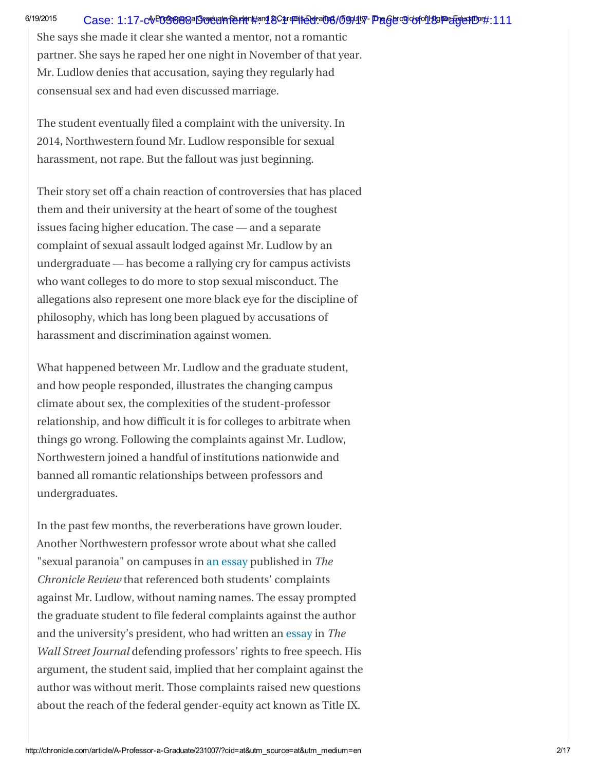### 6/19/2015 Case: 1:17-c**v-003680**8aB**oduata furde**n#an**18Care=i\$ede:a166/099417 Page10906fo1189Pe&Gue8D**D#:111

She says she made it clear she wanted a mentor, not a romantic partner. She says he raped her one night in November of that year. Mr. Ludlow denies that accusation, saying they regularly had consensual sex and had even discussed marriage.

The student eventually filed a complaint with the university. In 2014, Northwestern found Mr. Ludlow responsible for sexual harassment, not rape. But the fallout was just beginning.

Their story set off a chain reaction of controversies that has placed them and their university at the heart of some of the toughest issues facing higher education. The case — and a separate complaint of sexual assault lodged against Mr. Ludlow by an undergraduate — has become a rallying cry for campus activists who want colleges to do more to stop sexual misconduct. The allegations also represent one more black eye for the discipline of philosophy, which has long been plagued by accusations of harassment and discrimination against women.

What happened between Mr. Ludlow and the graduate student, and how people responded, illustrates the changing campus climate about sex, the complexities of the student-professor relationship, and how difficult it is for colleges to arbitrate when things go wrong. Following the complaints against Mr. Ludlow, Northwestern joined a handful of institutions nationwide and banned all romantic relationships between professors and undergraduates.

In the past few months, the reverberations have grown louder. Another Northwestern professor wrote about what she called "sexual paranoia" on campuses in an [essay](http://chronicle.com/article/Sexual-Paranoia-Strikes/190351/) published in The Chronicle Review that referenced both students' complaints against Mr. Ludlow, without naming names. The essay prompted the graduate student to file federal complaints against the author and the university's president, who had written an [essay](http://www.wsj.com/articles/morton-schapiro-the-new-face-of-campus-unrest-1426720308) in The Wall Street Journal defending professors' rights to free speech. His argument, the student said, implied that her complaint against the author was without merit. Those complaints raised new questions about the reach of the federal gender-equity act known as Title IX.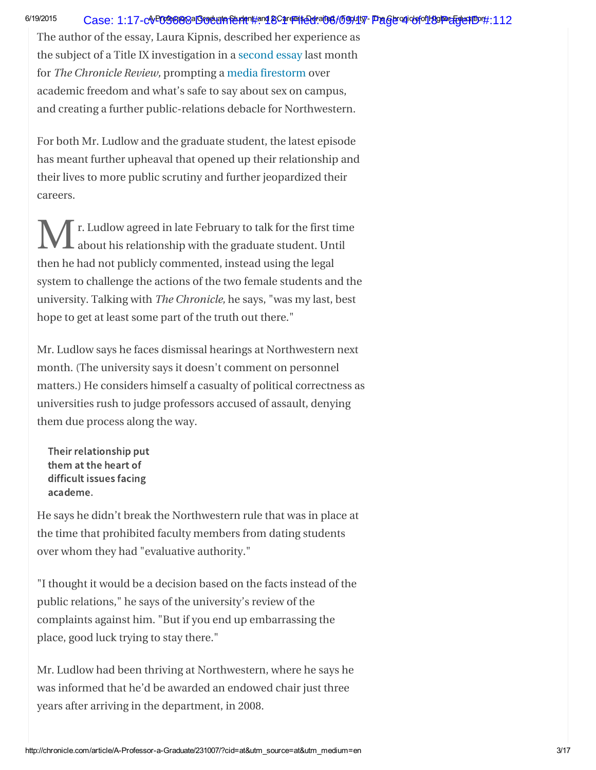## 6/19/2015 Case: 1:17-cvPOGS898aBigdualafeuden#and 8Care=ife0d:ai06/l59941v7- Phager odiobfo1L89PeEEgles#Don#:112

The author of the essay, Laura Kipnis, described her experience as the subject of a Title IX investigation in a [second](http://chronicle.com/article/My-Title-IX-Inquisition/230489/) essay last month for The Chronicle Review, prompting a media [firestorm](http://chronicle.com/article/For-Northwestern-the-Kipnis/230665/) over academic freedom and what's safe to say about sex on campus, and creating a further public-relations debacle for Northwestern.

For both Mr. Ludlow and the graduate student, the latest episode has meant further upheaval that opened up their relationship and their lives to more public scrutiny and further jeopardized their careers.

M r. Ludlow agreed in late February to talk for the first time<br>about his relationship with the graduate student. Until about his relationship with the graduate student. Until then he had not publicly commented, instead using the legal system to challenge the actions of the two female students and the university. Talking with The Chronicle, he says, "was my last, best hope to get at least some part of the truth out there."

Mr. Ludlow says he faces dismissal hearings at Northwestern next month. (The university says it doesn't comment on personnel matters.) He considers himself a casualty of political correctness as universities rush to judge professors accused of assault, denying them due process along the way.

Their relationship put them at the heart of difficult issues facing academe.

He says he didn't break the Northwestern rule that was in place at the time that prohibited faculty members from dating students over whom they had "evaluative authority."

"I thought it would be a decision based on the facts instead of the public relations," he says of the university's review of the complaints against him. "But if you end up embarrassing the place, good luck trying to stay there."

Mr. Ludlow had been thriving at Northwestern, where he says he was informed that he'd be awarded an endowed chair just three years after arriving in the department, in 2008.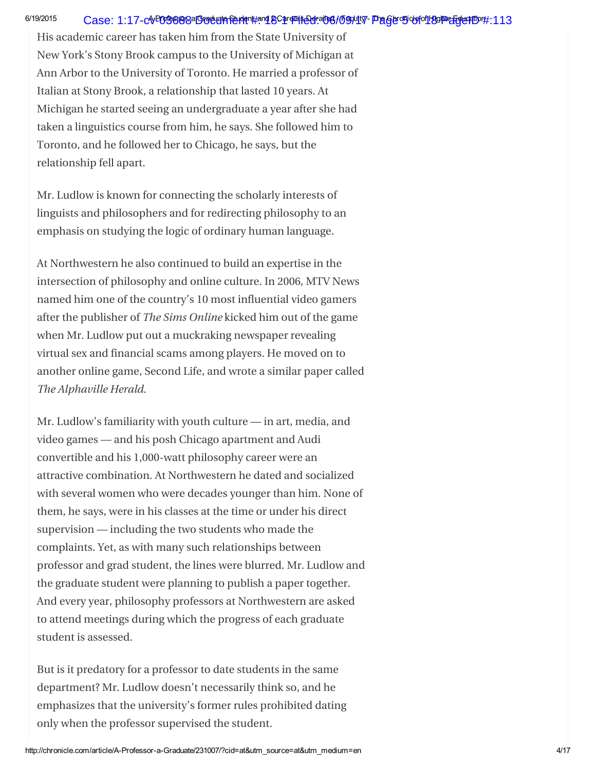### 6/19/2015 Case: 1:17-c**v-003680**8a**Gocument #: replace faculty #: 106/09/17 Page 5 of 06/01/80Pe&GlexTD #:113**

His academic career has taken him from the State University of New York's Stony Brook campus to the University of Michigan at Ann Arbor to the University of Toronto. He married a professor of Italian at Stony Brook, a relationship that lasted 10 years. At Michigan he started seeing an undergraduate a year after she had taken a linguistics course from him, he says. She followed him to Toronto, and he followed her to Chicago, he says, but the relationship fell apart.

Mr. Ludlow is known for connecting the scholarly interests of linguists and philosophers and for redirecting philosophy to an emphasis on studying the logic of ordinary human language.

At Northwestern he also continued to build an expertise in the intersection of philosophy and online culture. In 2006, MTV News named him one of the country's 10 most influential video gamers after the publisher of The Sims Online kicked him out of the game when Mr. Ludlow put out a muckraking newspaper revealing virtual sex and financial scams among players. He moved on to another online game, Second Life, and wrote a similar paper called The Alphaville Herald.

Mr. Ludlow's familiarity with youth culture — in art, media, and video games — and his posh Chicago apartment and Audi convertible and his 1,000-watt philosophy career were an attractive combination. At Northwestern he dated and socialized with several women who were decades younger than him. None of them, he says, were in his classes at the time or under his direct supervision — including the two students who made the complaints. Yet, as with many such relationships between professor and grad student, the lines were blurred. Mr. Ludlow and the graduate student were planning to publish a paper together. And every year, philosophy professors at Northwestern are asked to attend meetings during which the progress of each graduate student is assessed.

But is it predatory for a professor to date students in the same department? Mr. Ludlow doesn't necessarily think so, and he emphasizes that the university's former rules prohibited dating only when the professor supervised the student.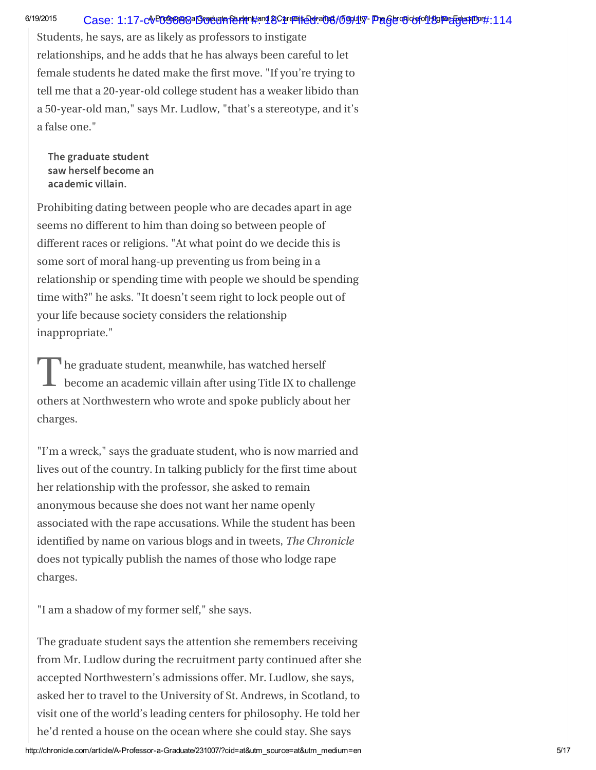#### 6/19/2015 Case: 1:17-cv<sup>p</sup>OGS898aBigduan&uden#and&Care=i\$@dfai06/l59941v7 Pageto9iobfo1L89Pe&Egle\$PDP#:114

Students, he says, are as likely as professors to instigate relationships, and he adds that he has always been careful to let female students he dated make the first move. "If you're trying to tell me that a 20-year-old college student has a weaker libido than a 50-year-old man," says Mr. Ludlow, "that's a stereotype, and it's a false one."

The graduate student saw herself become an academic villain.

Prohibiting dating between people who are decades apart in age seems no different to him than doing so between people of different races or religions. "At what point do we decide this is some sort of moral hang-up preventing us from being in a relationship or spending time with people we should be spending time with?" he asks. "It doesn't seem right to lock people out of your life because society considers the relationship inappropriate."

The graduate student, meanwhile, has watched herself<br>become an academic villain after using Title IX to chal become an academic villain after using Title IX to challenge others at Northwestern who wrote and spoke publicly about her charges.

"I'm a wreck," says the graduate student, who is now married and lives out of the country. In talking publicly for the first time about her relationship with the professor, she asked to remain anonymous because she does not want her name openly associated with the rape accusations. While the student has been identified by name on various blogs and in tweets, The Chronicle does not typically publish the names of those who lodge rape charges.

"I am a shadow of my former self," she says.

The graduate student says the attention she remembers receiving from Mr. Ludlow during the recruitment party continued after she accepted Northwestern's admissions offer. Mr. Ludlow, she says, asked her to travel to the University of St. Andrews, in Scotland, to visit one of the world's leading centers for philosophy. He told her he'd rented a house on the ocean where she could stay. She says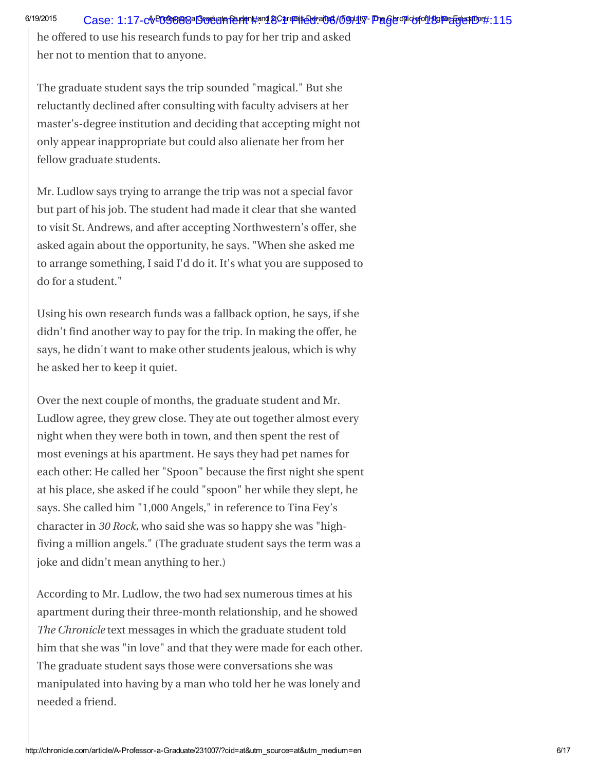he offered to use his research funds to pay for her trip and asked her not to mention that to anyone.

The graduate student says the trip sounded "magical." But she reluctantly declined after consulting with faculty advisers at her master's-degree institution and deciding that accepting might not only appear inappropriate but could also alienate her from her fellow graduate students.

Mr. Ludlow says trying to arrange the trip was not a special favor but part of his job. The student had made it clear that she wanted to visit St. Andrews, and after accepting Northwestern's offer, she asked again about the opportunity, he says. "When she asked me to arrange something, I said I'd do it. It's what you are supposed to do for a student."

Using his own research funds was a fallback option, he says, if she didn't find another way to pay for the trip. In making the offer, he says, he didn't want to make other students jealous, which is why he asked her to keep it quiet.

Over the next couple of months, the graduate student and Mr. Ludlow agree, they grew close. They ate out together almost every night when they were both in town, and then spent the rest of most evenings at his apartment. He says they had pet names for each other: He called her "Spoon" because the first night she spent at his place, she asked if he could "spoon" her while they slept, he says. She called him "1,000 Angels," in reference to Tina Fey's character in 30 Rock, who said she was so happy she was "highfiving a million angels." (The graduate student says the term was a joke and didn't mean anything to her.)

According to Mr. Ludlow, the two had sex numerous times at his apartment during their three-month relationship, and he showed The Chronicle text messages in which the graduate student told him that she was "in love" and that they were made for each other. The graduate student says those were conversations she was manipulated into having by a man who told her he was lonely and needed a friend.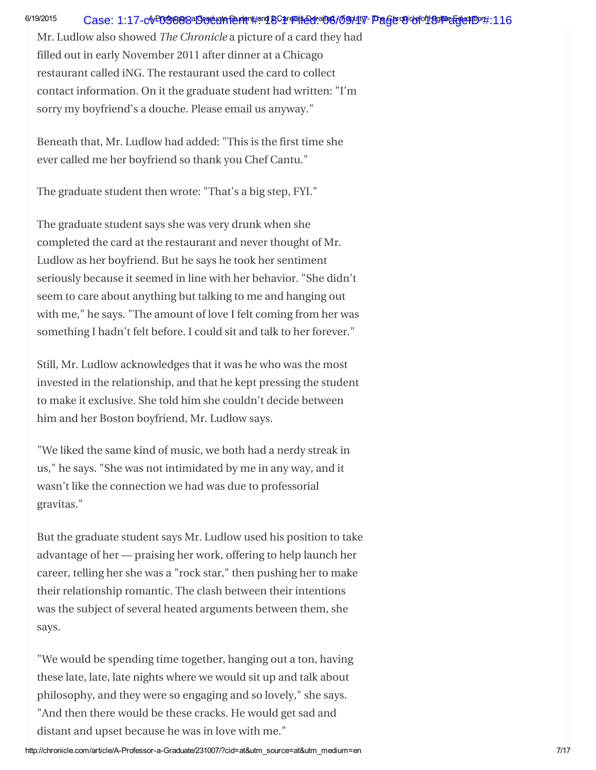## 6/19/2015 Case: 1:17-cv<sup>p</sup>OGS898aBigduan&uden#and&Care=i\$@dfail96/l59941v7-Pagebo9iobfo1L89Pe&Egle\$PDP#:116

Mr. Ludlow also showed The Chronicle a picture of a card they had filled out in early November 2011 after dinner at a Chicago restaurant called iNG. The restaurant used the card to collect contact information. On it the graduate student had written: "I'm sorry my boyfriend's a douche. Please email us anyway."

Beneath that, Mr. Ludlow had added: "This is the first time she ever called me her boyfriend so thank you Chef Cantu."

The graduate student then wrote: "That's a big step, FYI."

The graduate student says she was very drunk when she completed the card at the restaurant and never thought of Mr. Ludlow as her boyfriend. But he says he took her sentiment seriously because it seemed in line with her behavior. "She didn't seem to care about anything but talking to me and hanging out with me," he says. "The amount of love I felt coming from her was something I hadn't felt before. I could sit and talk to her forever."

Still, Mr. Ludlow acknowledges that it was he who was the most invested in the relationship, and that he kept pressing the student to make it exclusive. She told him she couldn't decide between him and her Boston boyfriend, Mr. Ludlow says.

"We liked the same kind of music, we both had a nerdy streak in us," he says. "She was not intimidated by me in any way, and it wasn't like the connection we had was due to professorial gravitas."

But the graduate student says Mr. Ludlow used his position to take advantage of her — praising her work, offering to help launch her career, telling her she was a "rock star," then pushing her to make their relationship romantic. The clash between their intentions was the subject of several heated arguments between them, she says.

"We would be spending time together, hanging out a ton, having these late, late, late nights where we would sit up and talk about philosophy, and they were so engaging and so lovely," she says. "And then there would be these cracks. He would get sad and distant and upset because he was in love with me."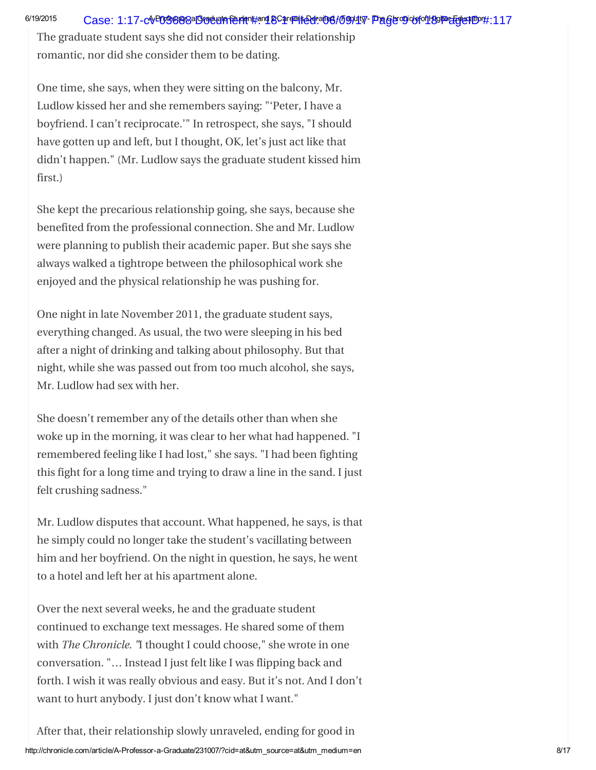The graduate student says she did not consider their relationship romantic, nor did she consider them to be dating.

One time, she says, when they were sitting on the balcony, Mr. Ludlow kissed her and she remembers saying: "'Peter, I have a boyfriend. I can't reciprocate.'" In retrospect, she says, "I should have gotten up and left, but I thought, OK, let's just act like that didn't happen." (Mr. Ludlow says the graduate student kissed him first.)

She kept the precarious relationship going, she says, because she benefited from the professional connection. She and Mr. Ludlow were planning to publish their academic paper. But she says she always walked a tightrope between the philosophical work she enjoyed and the physical relationship he was pushing for.

One night in late November 2011, the graduate student says, everything changed. As usual, the two were sleeping in his bed after a night of drinking and talking about philosophy. But that night, while she was passed out from too much alcohol, she says, Mr. Ludlow had sex with her.

She doesn't remember any of the details other than when she woke up in the morning, it was clear to her what had happened. "I remembered feeling like I had lost," she says. "I had been fighting this fight for a long time and trying to draw a line in the sand. I just felt crushing sadness."

Mr. Ludlow disputes that account. What happened, he says, is that he simply could no longer take the student's vacillating between him and her boyfriend. On the night in question, he says, he went to a hotel and left her at his apartment alone.

Over the next several weeks, he and the graduate student continued to exchange text messages. He shared some of them with The Chronicle. "I thought I could choose," she wrote in one conversation. "… Instead I just felt like I was flipping back and forth. I wish it was really obvious and easy. But it's not. And I don't want to hurt anybody. I just don't know what I want."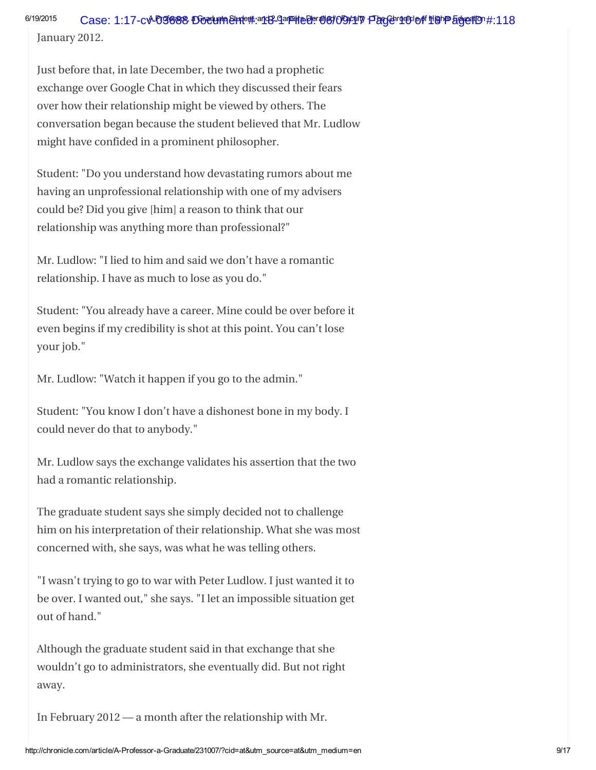6/19/2015 Case: 1:17-cv-**09688 DocumeEude#:a1& Jarede@POGOV #Fager 100 of 119 PagedID** #:118

January 2012.

Just before that, in late December, the two had a prophetic exchange over Google Chat in which they discussed their fears over how their relationship might be viewed by others. The conversation began because the student believed that Mr. Ludlow might have confided in a prominent philosopher.

Student: "Do you understand how devastating rumors about me having an unprofessional relationship with one of my advisers could be? Did you give [him] a reason to think that our relationship was anything more than professional?"

Mr. Ludlow: "I lied to him and said we don't have a romantic relationship. I have as much to lose as you do."

Student: "You already have a career. Mine could be over before it even begins if my credibility is shot at this point. You can't lose your job."

Mr. Ludlow: "Watch it happen if you go to the admin."

Student: "You know I don't have a dishonest bone in my body. I could never do that to anybody."

Mr. Ludlow says the exchange validates his assertion that the two had a romantic relationship.

The graduate student says she simply decided not to challenge him on his interpretation of their relationship. What she was most concerned with, she says, was what he was telling others.

"I wasn't trying to go to war with Peter Ludlow. I just wanted it to be over. I wanted out," she says. "I let an impossible situation get out of hand."

Although the graduate student said in that exchange that she wouldn't go to administrators, she eventually did. But not right away.

In February 2012 — a month after the relationship with Mr.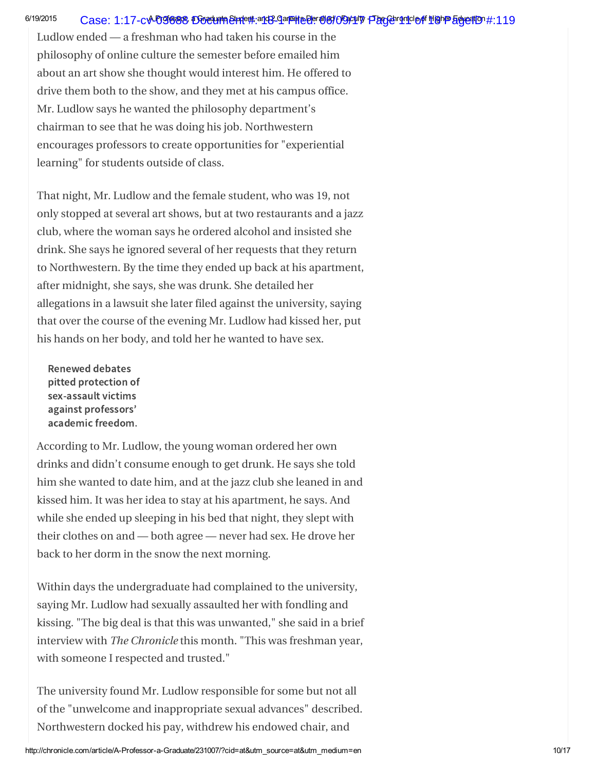## 6/19/2015 Case: 1:17-cv-**09688 DocumeEudent: 113-**21 Tendie Bereil Deraily Page 11 of 18 Page 11 01 Page 11 19

Ludlow ended — a freshman who had taken his course in the philosophy of online culture the semester before emailed him about an art show she thought would interest him. He offered to drive them both to the show, and they met at his campus office. Mr. Ludlow says he wanted the philosophy department's chairman to see that he was doing his job. Northwestern encourages professors to create opportunities for "experiential learning" for students outside of class.

That night, Mr. Ludlow and the female student, who was 19, not only stopped at several art shows, but at two restaurants and a jazz club, where the woman says he ordered alcohol and insisted she drink. She says he ignored several of her requests that they return to Northwestern. By the time they ended up back at his apartment, after midnight, she says, she was drunk. She detailed her allegations in a lawsuit she later filed against the university, saying that over the course of the evening Mr. Ludlow had kissed her, put his hands on her body, and told her he wanted to have sex.

Renewed debates pitted protection of academic freedom.

sex-assault victims<br>against professors'<br>academic freedom.<br>cording to Mr. Lud<br>inks and didn't con<br>m she wanted to da against professors'<br>academic freedom.<br>cording to Mr. Lud<br>inks and didn't cor<br>m she wanted to da<br>ssed him. It was he According to Mr. Ludlow, the young woman ordered her own drinks and didn't consume enough to get drunk. He says she told him she wanted to date him, and at the jazz club she leaned in and kissed him. It was her idea to stay at his apartment, he says. And while she ended up sleeping in his bed that night, they slept with their clothes on and — both agree — never had sex. He drove her back to her dorm in the snow the next morning.

Within days the undergraduate had complained to the university, saying Mr. Ludlow had sexually assaulted her with fondling and kissing. "The big deal is that this was unwanted," she said in a brief interview with The Chronicle this month. "This was freshman year, with someone I respected and trusted."

The university found Mr. Ludlow responsible for some but not all of the "unwelcome and inappropriate sexual advances" described. Northwestern docked his pay, withdrew his endowed chair, and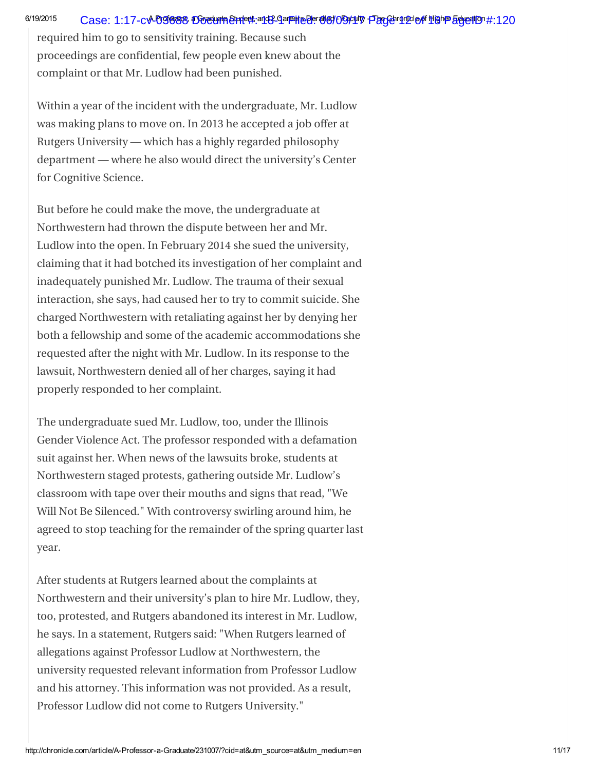required him to go to sensitivity training. Because such proceedings are confidential, few people even knew about the complaint or that Mr. Ludlow had been punished.

Within a year of the incident with the undergraduate, Mr. Ludlow was making plans to move on. In 2013 he accepted a job offer at Rutgers University — which has a highly regarded philosophy department — where he also would direct the university's Center for Cognitive Science.

But before he could make the move, the undergraduate at Northwestern had thrown the dispute between her and Mr. Ludlow into the open. In February 2014 she sued the university, claiming that it had botched its investigation of her complaint and inadequately punished Mr. Ludlow. The trauma of their sexual interaction, she says, had caused her to try to commit suicide. She charged Northwestern with retaliating against her by denying her both a fellowship and some of the academic accommodations she requested after the night with Mr. Ludlow. In its response to the lawsuit, Northwestern denied all of her charges, saying it had properly responded to her complaint.

The undergraduate sued Mr. Ludlow, too, under the Illinois Gender Violence Act. The professor responded with a defamation suit against her. When news of the lawsuits broke, students at Northwestern staged protests, gathering outside Mr. Ludlow's classroom with tape over their mouths and signs that read, "We Will Not Be Silenced." With controversy swirling around him, he agreed to stop teaching for the remainder of the spring quarter last year.

After students at Rutgers learned about the complaints at Northwestern and their university's plan to hire Mr. Ludlow, they, too, protested, and Rutgers abandoned its interest in Mr. Ludlow, he says. In a statement, Rutgers said: "When Rutgers learned of allegations against Professor Ludlow at Northwestern, the university requested relevant information from Professor Ludlow and his attorney. This information was not provided. As a result, Professor Ludlow did not come to Rutgers University."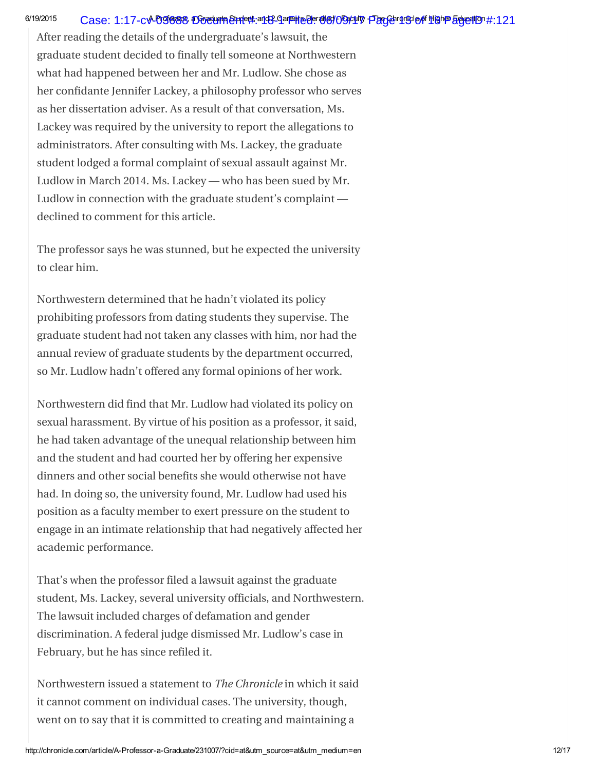#### 6/19/2015 Case: 1:17-c**v-09688 DocumeEude#:a1&Garede@er@@/OGkUV FacGer1Chrofele filghP Educatio**n#:121

After reading the details of the undergraduate's lawsuit, the graduate student decided to finally tell someone at Northwestern what had happened between her and Mr. Ludlow. She chose as her confidante Jennifer Lackey, a philosophy professor who serves as her dissertation adviser. As a result of that conversation, Ms. Lackey was required by the university to report the allegations to administrators. After consulting with Ms. Lackey, the graduate student lodged a formal complaint of sexual assault against Mr. Ludlow in March 2014. Ms. Lackey — who has been sued by Mr. Ludlow in connection with the graduate student's complaint declined to comment for this article.

The professor says he was stunned, but he expected the university to clear him.

Northwestern determined that he hadn't violated its policy prohibiting professors from dating students they supervise. The graduate student had not taken any classes with him, nor had the annual review of graduate students by the department occurred, so Mr. Ludlow hadn't offered any formal opinions of her work.

Northwestern did find that Mr. Ludlow had violated its policy on sexual harassment. By virtue of his position as a professor, it said, he had taken advantage of the unequal relationship between him and the student and had courted her by offering her expensive dinners and other social benefits she would otherwise not have had. In doing so, the university found, Mr. Ludlow had used his position as a faculty member to exert pressure on the student to engage in an intimate relationship that had negatively affected her academic performance.

That's when the professor filed a lawsuit against the graduate student, Ms. Lackey, several university officials, and Northwestern. The lawsuit included charges of defamation and gender discrimination. A federal judge dismissed Mr. Ludlow's case in February, but he has since refiled it.

Northwestern issued a statement to The Chronicle in which it said it cannot comment on individual cases. The university, though, went on to say that it is committed to creating and maintaining a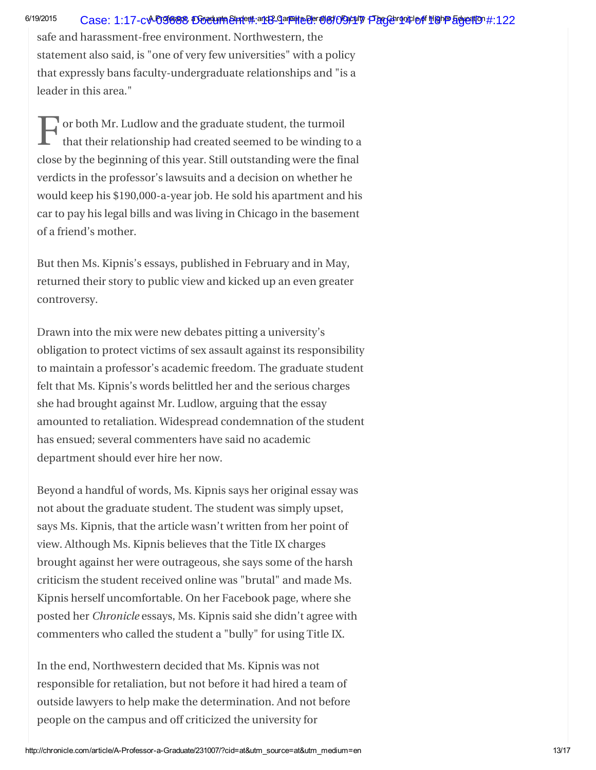## 6/19/2015 Case: 1:17-c**v-09688 DocumeEude#:a1&Garedee@e7OBCU7 FacGor10406 HighP Educatio**n#:122

safe and harassment-free environment. Northwestern, the statement also said, is "one of very few universities" with a policy that expressly bans faculty-undergraduate relationships and "is a leader in this area."

F or both Mr. Ludlow and the graduate student, the turmoil that their relationship had created seemed to be winding to a close by the beginning of this year. Still outstanding were the final verdicts in the professor's lawsuits and a decision on whether he would keep his \$190,000-a-year job. He sold his apartment and his car to pay his legal bills and was living in Chicago in the basement of a friend's mother.

But then Ms. Kipnis's essays, published in February and in May, returned their story to public view and kicked up an even greater controversy.

Drawn into the mix were new debates pitting a university's obligation to protect victims of sex assault against its responsibility to maintain a professor's academic freedom. The graduate student felt that Ms. Kipnis's words belittled her and the serious charges she had brought against Mr. Ludlow, arguing that the essay amounted to retaliation. Widespread condemnation of the student has ensued; several commenters have said no academic department should ever hire her now.

Beyond a handful of words, Ms. Kipnis says her original essay was not about the graduate student. The student was simply upset, says Ms. Kipnis, that the article wasn't written from her point of view. Although Ms. Kipnis believes that the Title IX charges brought against her were outrageous, she says some of the harsh criticism the student received online was "brutal" and made Ms. Kipnis herself uncomfortable. On her Facebook page, where she posted her Chronicle essays, Ms. Kipnis said she didn't agree with commenters who called the student a "bully" for using Title IX.

In the end, Northwestern decided that Ms. Kipnis was not responsible for retaliation, but not before it had hired a team of outside lawyers to help make the determination. And not before people on the campus and off criticized the university for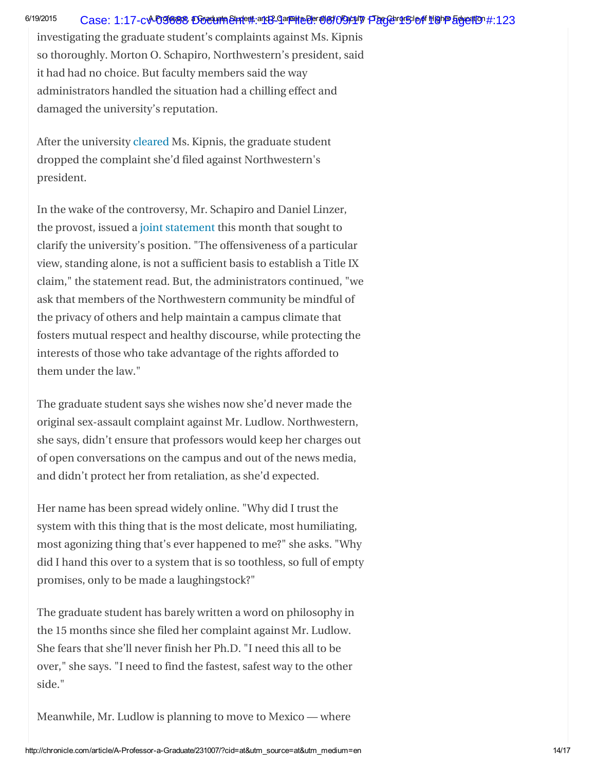## 6/19/2015 Case: 1:17-c**v-09688 DocumeEude#:a1&Garede@er@@/OGkUV FacGer1&Gr@ HighP &gyedIO** #:123

investigating the graduate student's complaints against Ms. Kipnis so thoroughly. Morton O. Schapiro, Northwestern's president, said it had had no choice. But faculty members said the way administrators handled the situation had a chilling effect and damaged the university's reputation.

After the university [cleared](http://chronicle.com/blogs/ticker/laura-kipnis-is-cleared-of-wrongdoing-in-title-ix-complaints/99951) Ms. Kipnis, the graduate student dropped the complaint she'd filed against Northwestern's president.

In the wake of the controversy, Mr. Schapiro and Daniel Linzer, the provost, issued a joint [statement](http://www.northwestern.edu/newscenter/stories/2015/06/statement-by-northwestern-university-president-and-provost-regarding-academic-freedom-and-title-ix.html) this month that sought to clarify the university's position. "The offensiveness of a particular view, standing alone, is not a sufficient basis to establish a Title IX claim," the statement read. But, the administrators continued, "we ask that members of the Northwestern community be mindful of the privacy of others and help maintain a campus climate that fosters mutual respect and healthy discourse, while protecting the interests of those who take advantage of the rights afforded to them under the law."

The graduate student says she wishes now she'd never made the original sex-assault complaint against Mr. Ludlow. Northwestern, she says, didn't ensure that professors would keep her charges out of open conversations on the campus and out of the news media, and didn't protect her from retaliation, as she'd expected.

Her name has been spread widely online. "Why did I trust the system with this thing that is the most delicate, most humiliating, most agonizing thing that's ever happened to me?" she asks. "Why did I hand this over to a system that is so toothless, so full of empty promises, only to be made a laughingstock?"

The graduate student has barely written a word on philosophy in the 15 months since she filed her complaint against Mr. Ludlow. She fears that she'll never finish her Ph.D. "I need this all to be over," she says. "I need to find the fastest, safest way to the other side."

Meanwhile, Mr. Ludlow is planning to move to Mexico — where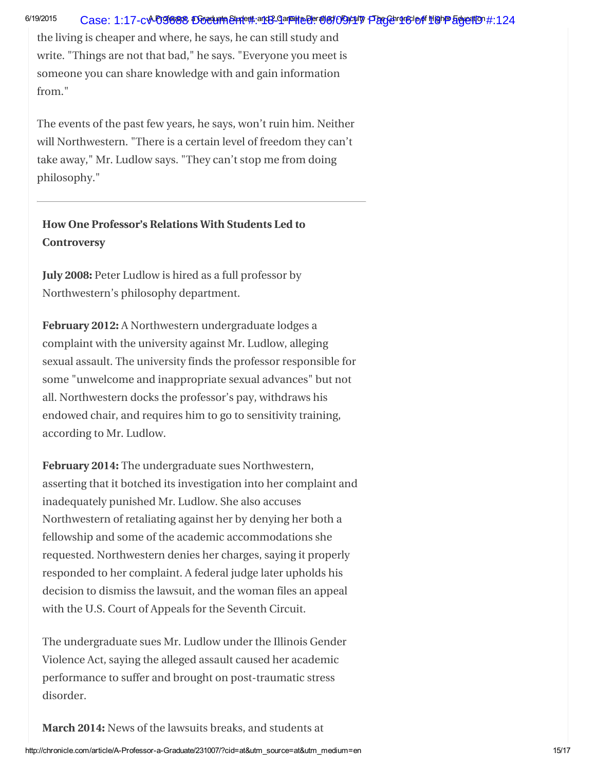## 6/19/2015 Case: 1:17-c**v-09688 DocumeEude#:a1&Garede@er@@/OGkUV FlacGcrocle of HighP Educatio**n#:124

the living is cheaper and where, he says, he can still study and write. "Things are not that bad," he says. "Everyone you meet is someone you can share knowledge with and gain information from."

The events of the past few years, he says, won't ruin him. Neither will Northwestern. "There is a certain level of freedom they can't take away," Mr. Ludlow says. "They can't stop me from doing philosophy."

How One Professor's Relations With Students Led to **Controversy** 

July 2008: Peter Ludlow is hired as a full professor by Northwestern's philosophy department.

February 2012: A Northwestern undergraduate lodges a complaint with the university against Mr. Ludlow, alleging sexual assault. The university finds the professor responsible for some "unwelcome and inappropriate sexual advances" but not all. Northwestern docks the professor's pay, withdraws his endowed chair, and requires him to go to sensitivity training, according to Mr. Ludlow.

February 2014: The undergraduate sues Northwestern, asserting that it botched its investigation into her complaint and inadequately punished Mr. Ludlow. She also accuses Northwestern of retaliating against her by denying her both a fellowship and some of the academic accommodations she requested. Northwestern denies her charges, saying it properly responded to her complaint. A federal judge later upholds his decision to dismiss the lawsuit, and the woman files an appeal with the U.S. Court of Appeals for the Seventh Circuit.

The undergraduate sues Mr. Ludlow under the Illinois Gender Violence Act, saying the alleged assault caused her academic performance to suffer and brought on post-traumatic stress disorder.

March 2014: News of the lawsuits breaks, and students at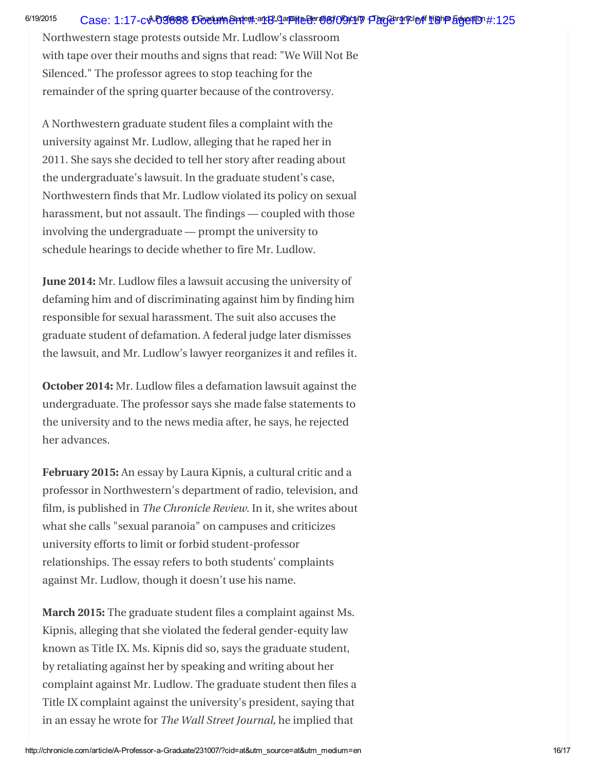## 6/19/2015 Case: 1:17-c**v-09688 DocumeEude#:a1&Garedee@e7OBCU7 FacGor17cle of <u>H</u>ighP Education #:125**

Northwestern stage protests outside Mr. Ludlow's classroom with tape over their mouths and signs that read: "We Will Not Be Silenced." The professor agrees to stop teaching for the remainder of the spring quarter because of the controversy.

A Northwestern graduate student files a complaint with the university against Mr. Ludlow, alleging that he raped her in 2011. She says she decided to tell her story after reading about the undergraduate's lawsuit. In the graduate student's case, Northwestern finds that Mr. Ludlow violated its policy on sexual harassment, but not assault. The findings — coupled with those involving the undergraduate — prompt the university to schedule hearings to decide whether to fire Mr. Ludlow.

June 2014: Mr. Ludlow files a lawsuit accusing the university of defaming him and of discriminating against him by finding him responsible for sexual harassment. The suit also accuses the graduate student of defamation. A federal judge later dismisses the lawsuit, and Mr. Ludlow's lawyer reorganizes it and refiles it.

October 2014: Mr. Ludlow files a defamation lawsuit against the undergraduate. The professor says she made false statements to the university and to the news media after, he says, he rejected her advances.

February 2015: An essay by Laura Kipnis, a cultural critic and a professor in Northwestern's department of radio, television, and film, is published in The Chronicle Review. In it, she writes about what she calls "sexual paranoia" on campuses and criticizes university efforts to limit or forbid student-professor relationships. The essay refers to both students' complaints against Mr. Ludlow, though it doesn't use his name.

March 2015: The graduate student files a complaint against Ms. Kipnis, alleging that she violated the federal gender-equity law known as Title IX. Ms. Kipnis did so, says the graduate student, by retaliating against her by speaking and writing about her complaint against Mr. Ludlow. The graduate student then files a Title IX complaint against the university's president, saying that in an essay he wrote for The Wall Street Journal, he implied that